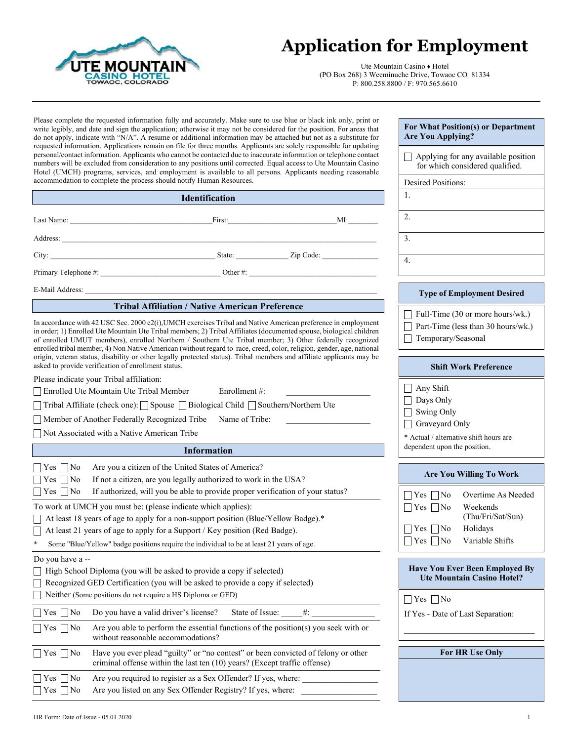

## **Application for Employment**

Ute Mountain Casino ♦ Hotel (PO Box 268) 3 Weeminuche Drive, Towaoc CO 81334 P: 800.258.8800 / F: 970.565.6610

**For What Position(s) or Department** 

Applying for any available position

**Are You Applying?**

Please complete the requested information fully and accurately. Make sure to use blue or black ink only, print or write legibly, and date and sign the application; otherwise it may not be considered for the position. For areas that do not apply, indicate with "N/A". A resume or additional information may be attached but not as a substitute for requested information. Applications remain on file for three months. Applicants are solely responsible for updating personal/contact information. Applicants who cannot be contacted due to inaccurate information or telephone contact numbers will be excluded from consideration to any positions until corrected. Equal access to Ute Mountain Casino Hotel (UMCH) programs, services, and employment is available to all persons. Applicants needing reasonable accommodation to complete the process should notify Human Resources.

| numbers will be excluded from consideration to any positions until corrected. Equal access to Ute Mountain Casino<br>Hotel (UMCH) programs, services, and employment is available to all persons. Applicants needing reasonable                                                                                                                                                                                                                                                                                                                                                                                                                           |                                                                                                                                                                                                          |        | for which considered qualified.                                                                                                      |
|-----------------------------------------------------------------------------------------------------------------------------------------------------------------------------------------------------------------------------------------------------------------------------------------------------------------------------------------------------------------------------------------------------------------------------------------------------------------------------------------------------------------------------------------------------------------------------------------------------------------------------------------------------------|----------------------------------------------------------------------------------------------------------------------------------------------------------------------------------------------------------|--------|--------------------------------------------------------------------------------------------------------------------------------------|
| accommodation to complete the process should notify Human Resources.                                                                                                                                                                                                                                                                                                                                                                                                                                                                                                                                                                                      |                                                                                                                                                                                                          |        | <b>Desired Positions:</b>                                                                                                            |
|                                                                                                                                                                                                                                                                                                                                                                                                                                                                                                                                                                                                                                                           | <b>Identification</b>                                                                                                                                                                                    |        | 1.                                                                                                                                   |
| Last Name: First:                                                                                                                                                                                                                                                                                                                                                                                                                                                                                                                                                                                                                                         |                                                                                                                                                                                                          | MI:    | 2.                                                                                                                                   |
|                                                                                                                                                                                                                                                                                                                                                                                                                                                                                                                                                                                                                                                           |                                                                                                                                                                                                          |        | 3.                                                                                                                                   |
|                                                                                                                                                                                                                                                                                                                                                                                                                                                                                                                                                                                                                                                           |                                                                                                                                                                                                          |        | $\overline{4}$ .                                                                                                                     |
|                                                                                                                                                                                                                                                                                                                                                                                                                                                                                                                                                                                                                                                           |                                                                                                                                                                                                          |        |                                                                                                                                      |
| E-Mail Address:                                                                                                                                                                                                                                                                                                                                                                                                                                                                                                                                                                                                                                           |                                                                                                                                                                                                          |        | <b>Type of Employment Desired</b>                                                                                                    |
|                                                                                                                                                                                                                                                                                                                                                                                                                                                                                                                                                                                                                                                           | <b>Tribal Affiliation / Native American Preference</b>                                                                                                                                                   |        | Full-Time (30 or more hours/wk.)                                                                                                     |
| In accordance with 42 USC Sec. 2000 e2(i), UMCH exercises Tribal and Native American preference in employment<br>in order; 1) Enrolled Ute Mountain Ute Tribal members; 2) Tribal Affiliates (documented spouse, biological children<br>of enrolled UMUT members), enrolled Northern / Southern Ute Tribal member; 3) Other federally recognized<br>enrolled tribal member, 4) Non Native American (without regard to race, creed, color, religion, gender, age, national<br>origin, veteran status, disability or other legally protected status). Tribal members and affiliate applicants may be<br>asked to provide verification of enrollment status. |                                                                                                                                                                                                          |        | Part-Time (less than 30 hours/wk.)<br>Temporary/Seasonal<br><b>Shift Work Preference</b>                                             |
| Please indicate your Tribal affiliation:                                                                                                                                                                                                                                                                                                                                                                                                                                                                                                                                                                                                                  |                                                                                                                                                                                                          |        |                                                                                                                                      |
| Enrolled Ute Mountain Ute Tribal Member<br>Enrollment#:<br>□ Tribal Affiliate (check one): Spouse □ Biological Child □ Southern/Northern Ute<br>Member of Another Federally Recognized Tribe Name of Tribe:<br>Not Associated with a Native American Tribe                                                                                                                                                                                                                                                                                                                                                                                                |                                                                                                                                                                                                          |        | Any Shift<br>Days Only<br>Swing Only<br>Graveyard Only<br>* Actual / alternative shift hours are                                     |
|                                                                                                                                                                                                                                                                                                                                                                                                                                                                                                                                                                                                                                                           | <b>Information</b>                                                                                                                                                                                       |        | dependent upon the position.                                                                                                         |
| $\Box$ Yes $\Box$ No<br>$\Box$ Yes $\Box$ No<br>$\Box$ Yes $\Box$ No                                                                                                                                                                                                                                                                                                                                                                                                                                                                                                                                                                                      | Are you a citizen of the United States of America?<br>If not a citizen, are you legally authorized to work in the USA?<br>If authorized, will you be able to provide proper verification of your status? |        | <b>Are You Willing To Work</b><br>$\Box$ Yes $\Box$ No<br>Overtime As Needed                                                         |
| To work at UMCH you must be: (please indicate which applies):<br>□ At least 18 years of age to apply for a non-support position (Blue/Yellow Badge).*<br>□ At least 21 years of age to apply for a Support / Key position (Red Badge).<br>$\ast$                                                                                                                                                                                                                                                                                                                                                                                                          | Some "Blue/Yellow" badge positions require the individual to be at least 21 years of age.                                                                                                                |        | $\Box$ Yes $\Box$ No<br>Weekends<br>(Thu/Fri/Sat/Sun)<br>$\Box$ Yes $\Box$ No<br>Holidays<br>$\Box$ Yes $\Box$ No<br>Variable Shifts |
| Do you have a --<br>$\Box$ High School Diploma (you will be asked to provide a copy if selected)<br>Recognized GED Certification (you will be asked to provide a copy if selected)                                                                                                                                                                                                                                                                                                                                                                                                                                                                        |                                                                                                                                                                                                          |        | <b>Have You Ever Been Employed By</b><br><b>Ute Mountain Casino Hotel?</b>                                                           |
| Neither (Some positions do not require a HS Diploma or GED)                                                                                                                                                                                                                                                                                                                                                                                                                                                                                                                                                                                               |                                                                                                                                                                                                          |        | $\Box$ Yes $\Box$ No                                                                                                                 |
| $Yes$ No                                                                                                                                                                                                                                                                                                                                                                                                                                                                                                                                                                                                                                                  | Do you have a valid driver's license?<br>State of Issue:                                                                                                                                                 | $\#$ : | If Yes - Date of Last Separation:                                                                                                    |
| $\bigcap$ Yes $\bigcap$ No                                                                                                                                                                                                                                                                                                                                                                                                                                                                                                                                                                                                                                | Are you able to perform the essential functions of the position(s) you seek with or<br>without reasonable accommodations?                                                                                |        |                                                                                                                                      |
| $\Box$ Yes $\Box$ No                                                                                                                                                                                                                                                                                                                                                                                                                                                                                                                                                                                                                                      | Have you ever plead "guilty" or "no contest" or been convicted of felony or other<br>criminal offense within the last ten (10) years? (Except traffic offense)                                           |        | For HR Use Only                                                                                                                      |
| $\bigcap$ Yes $\bigcap$ No<br>$\gamma$ es $\Box$ No                                                                                                                                                                                                                                                                                                                                                                                                                                                                                                                                                                                                       | Are you required to register as a Sex Offender? If yes, where:<br>Are you listed on any Sex Offender Registry? If yes, where:                                                                            |        |                                                                                                                                      |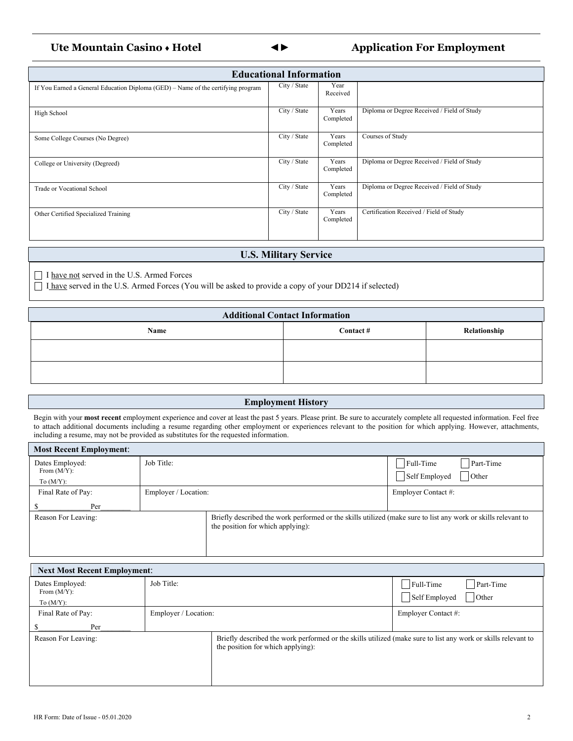### **Ute Mountain Casino** ♦ **Hotel ◄► Application For Employment**

|   | ۰,                  |
|---|---------------------|
| × | ۰,<br>۰,<br>٦<br>۰, |

| <b>Educational Information</b>                                                   |              |                    |                                             |  |  |  |
|----------------------------------------------------------------------------------|--------------|--------------------|---------------------------------------------|--|--|--|
| If You Earned a General Education Diploma (GED) – Name of the certifying program | City / State | Year<br>Received   |                                             |  |  |  |
| High School                                                                      | City / State | Years<br>Completed | Diploma or Degree Received / Field of Study |  |  |  |
| Some College Courses (No Degree)                                                 | City / State | Years<br>Completed | Courses of Study                            |  |  |  |
| College or University (Degreed)                                                  | City / State | Years<br>Completed | Diploma or Degree Received / Field of Study |  |  |  |
| Trade or Vocational School                                                       | City / State | Years<br>Completed | Diploma or Degree Received / Field of Study |  |  |  |
| Other Certified Specialized Training                                             | City / State | Years<br>Completed | Certification Received / Field of Study     |  |  |  |

#### **U.S. Military Service**

I have not served in the U.S. Armed Forces

I have served in the U.S. Armed Forces (You will be asked to provide a copy of your DD214 if selected)

| <b>Additional Contact Information</b> |          |              |  |  |  |
|---------------------------------------|----------|--------------|--|--|--|
| Name                                  | Contact# | Relationship |  |  |  |
|                                       |          |              |  |  |  |
|                                       |          |              |  |  |  |

#### **Employment History**

Begin with your **most recent** employment experience and cover at least the past 5 years. Please print. Be sure to accurately complete all requested information. Feel free to attach additional documents including a resume regarding other employment or experiences relevant to the position for which applying. However, attachments, including a resume, may not be provided as substitutes for the requested information.

| <b>Most Recent Employment:</b>    |                      |                                                                                                                                                    |                                                                                              |
|-----------------------------------|----------------------|----------------------------------------------------------------------------------------------------------------------------------------------------|----------------------------------------------------------------------------------------------|
| Dates Employed:<br>From $(M/Y)$ : | Job Title:           |                                                                                                                                                    | Full-Time<br>Part-Time<br>$\overline{\overline{\smash{\big)}\text{Other}}}$<br>Self Employed |
| To $(M/Y)$ :                      |                      |                                                                                                                                                    |                                                                                              |
| Final Rate of Pay:                | Employer / Location: |                                                                                                                                                    | Employer Contact #:                                                                          |
| Per                               |                      |                                                                                                                                                    |                                                                                              |
| Reason For Leaving:               |                      | Briefly described the work performed or the skills utilized (make sure to list any work or skills relevant to<br>the position for which applying): |                                                                                              |

| <b>Next Most Recent Employment:</b> |                      |                                                                                                                                                    |                                                  |  |  |  |
|-------------------------------------|----------------------|----------------------------------------------------------------------------------------------------------------------------------------------------|--------------------------------------------------|--|--|--|
| Dates Employed:<br>From $(M/Y)$ :   | Job Title:           |                                                                                                                                                    | Full-Time<br>Part-Time<br>Self Employed<br>Other |  |  |  |
| To $(M/Y)$ :                        |                      |                                                                                                                                                    |                                                  |  |  |  |
| Final Rate of Pay:                  | Employer / Location: |                                                                                                                                                    | Employer Contact #:                              |  |  |  |
| Per                                 |                      |                                                                                                                                                    |                                                  |  |  |  |
| Reason For Leaving:                 |                      | Briefly described the work performed or the skills utilized (make sure to list any work or skills relevant to<br>the position for which applying): |                                                  |  |  |  |